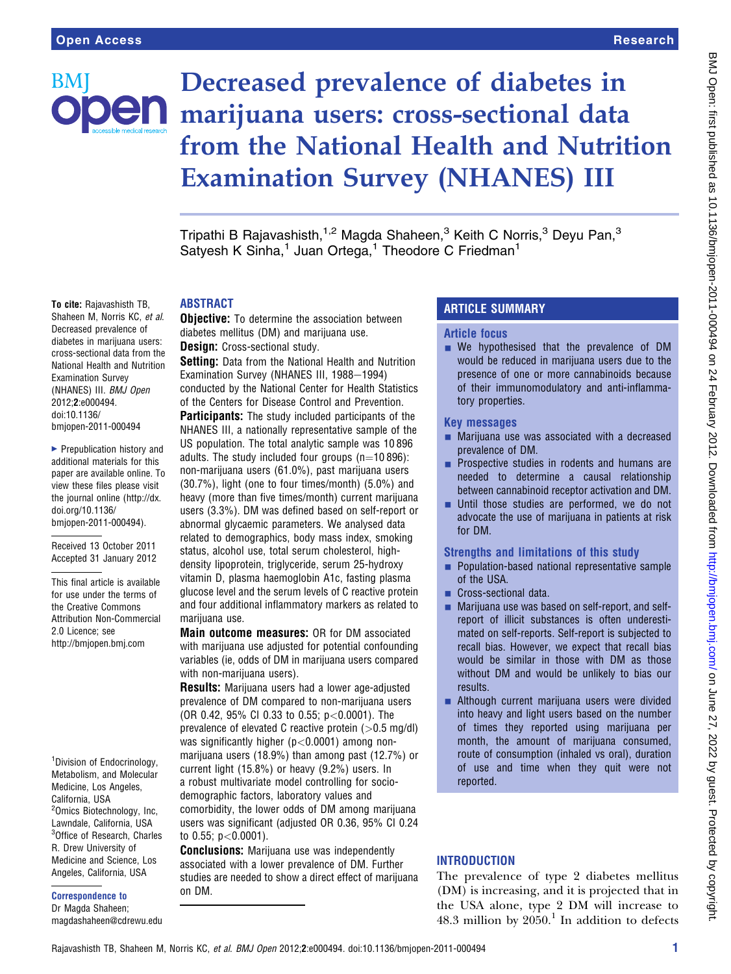BMI

# Decreased prevalence of diabetes in marijuana users: cross-sectional data from the National Health and Nutrition Examination Survey (NHANES) III

Tripathi B Rajavashisth,<sup>1,2</sup> Magda Shaheen,<sup>3</sup> Keith C Norris,<sup>3</sup> Deyu Pan,<sup>3</sup> Satyesh K Sinha,<sup>1</sup> Juan Ortega,<sup>1</sup> Theodore C Friedman<sup>1</sup>

# ABSTRACT

Shaheen M, Norris KC, et al. Decreased prevalence of diabetes in marijuana users: cross-sectional data from the National Health and Nutrition Examination Survey (NHANES) III. BMJ Open 2012;2:e000494.

doi:10.1136/ bmjopen-2011-000494

To cite: Rajavashisth TB,

 $\blacktriangleright$  Prepublication history and additional materials for this paper are available online. To view these files please visit the journal online (http://dx. doi.org/10.1136/ bmjopen-2011-000494).

Received 13 October 2011 Accepted 31 January 2012

This final article is available for use under the terms of the Creative Commons Attribution Non-Commercial 2.0 Licence; see http://bmjopen.bmj.com

<sup>1</sup> Division of Endocrinology, Metabolism, and Molecular Medicine, Los Angeles, California, USA <sup>2</sup>Omics Biotechnology, Inc, Lawndale, California, USA 3 Office of Research, Charles R. Drew University of Medicine and Science, Los Angeles, California, USA

Correspondence to

Dr Magda Shaheen; magdashaheen@cdrewu.edu **Objective:** To determine the association between diabetes mellitus (DM) and marijuana use.

Design: Cross-sectional study.

Setting: Data from the National Health and Nutrition Examination Survey (NHANES III, 1988-1994) conducted by the National Center for Health Statistics of the Centers for Disease Control and Prevention.

**Participants:** The study included participants of the NHANES III, a nationally representative sample of the US population. The total analytic sample was 10 896 adults. The study included four groups  $(n=10 896)$ : non-marijuana users (61.0%), past marijuana users (30.7%), light (one to four times/month) (5.0%) and heavy (more than five times/month) current marijuana users (3.3%). DM was defined based on self-report or abnormal glycaemic parameters. We analysed data related to demographics, body mass index, smoking status, alcohol use, total serum cholesterol, highdensity lipoprotein, triglyceride, serum 25-hydroxy vitamin D, plasma haemoglobin A1c, fasting plasma glucose level and the serum levels of C reactive protein and four additional inflammatory markers as related to marijuana use.

Main outcome measures: OR for DM associated with marijuana use adjusted for potential confounding variables (ie, odds of DM in marijuana users compared with non-marijuana users).

Results: Marijuana users had a lower age-adjusted prevalence of DM compared to non-marijuana users (OR 0.42, 95% CI 0.33 to 0.55; p<0.0001). The prevalence of elevated C reactive protein  $(>0.5 \text{ mg/dl})$ was significantly higher ( $p < 0.0001$ ) among nonmarijuana users (18.9%) than among past (12.7%) or current light (15.8%) or heavy (9.2%) users. In a robust multivariate model controlling for sociodemographic factors, laboratory values and comorbidity, the lower odds of DM among marijuana users was significant (adjusted OR 0.36, 95% CI 0.24 to  $0.55$ ;  $p < 0.0001$ ).

**Conclusions:** Marijuana use was independently associated with a lower prevalence of DM. Further studies are needed to show a direct effect of marijuana on DM.

# ARTICLE SUMMARY

#### Article focus

 $\blacksquare$  We hypothesised that the prevalence of DM would be reduced in marijuana users due to the presence of one or more cannabinoids because of their immunomodulatory and anti-inflammatory properties.

## Key messages

- $\blacksquare$  Marijuana use was associated with a decreased prevalence of DM.
- $\blacksquare$  Prospective studies in rodents and humans are needed to determine a causal relationship between cannabinoid receptor activation and DM.
- **Until those studies are performed, we do not** advocate the use of marijuana in patients at risk for DM.

## Strengths and limitations of this study

- **Population-based national representative sample** of the USA.
- **Cross-sectional data.**
- Marijuana use was based on self-report, and selfreport of illicit substances is often underestimated on self-reports. Self-report is subjected to recall bias. However, we expect that recall bias would be similar in those with DM as those without DM and would be unlikely to bias our results.
- **-** Although current marijuana users were divided into heavy and light users based on the number of times they reported using marijuana per month, the amount of marijuana consumed, route of consumption (inhaled vs oral), duration of use and time when they quit were not reported.

# INTRODUCTION

The prevalence of type 2 diabetes mellitus (DM) is increasing, and it is projected that in the USA alone, type 2 DM will increase to 48.3 million by  $2050<sup>1</sup>$  In addition to defects

Rajavashisth TB, Shaheen M, Norris KC, et al. BMJ Open 2012;2:e000494. doi:10.1136/bmjopen-2011-000494 1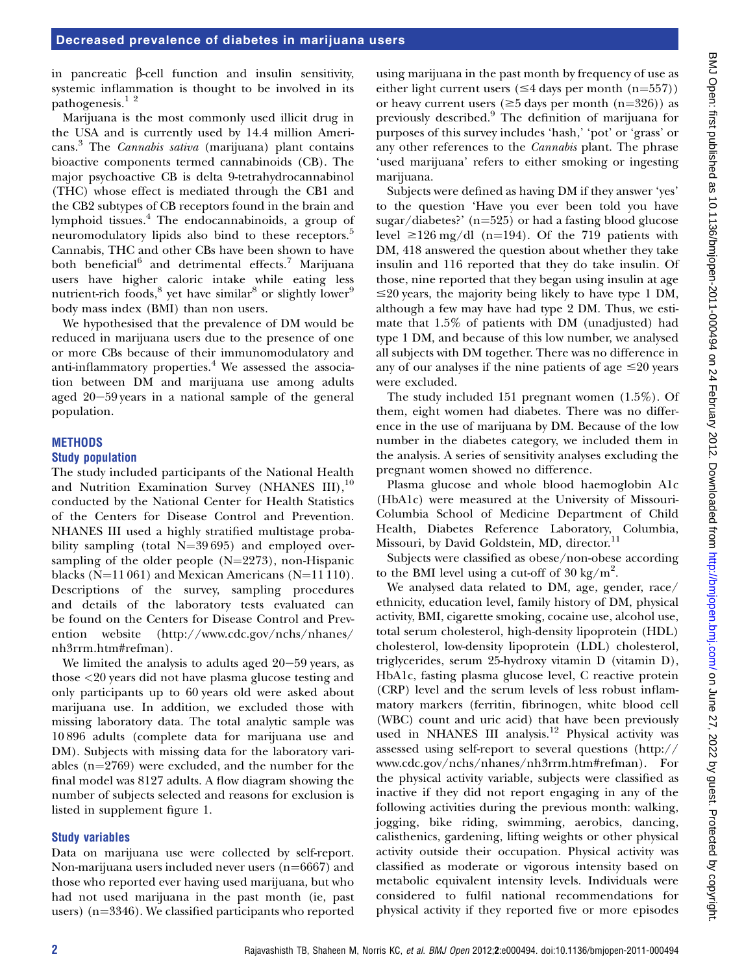in pancreatic  $\beta$ -cell function and insulin sensitivity, systemic inflammation is thought to be involved in its pathogenesis. $1^2$ 

Marijuana is the most commonly used illicit drug in the USA and is currently used by 14.4 million Ameri $cans<sup>3</sup>$ . The *Cannabis sativa* (marijuana) plant contains bioactive components termed cannabinoids (CB). The major psychoactive CB is delta 9-tetrahydrocannabinol (THC) whose effect is mediated through the CB1 and the CB2 subtypes of CB receptors found in the brain and lymphoid tissues.<sup>4</sup> The endocannabinoids, a group of neuromodulatory lipids also bind to these receptors.<sup>5</sup> Cannabis, THC and other CBs have been shown to have both beneficial<sup>6</sup> and detrimental effects.<sup>7</sup> Marijuana users have higher caloric intake while eating less nutrient-rich foods,<sup>8</sup> yet have similar<sup>8</sup> or slightly lower<sup>9</sup> body mass index (BMI) than non users.

We hypothesised that the prevalence of DM would be reduced in marijuana users due to the presence of one or more CBs because of their immunomodulatory and anti-inflammatory properties. $4$  We assessed the association between DM and marijuana use among adults aged  $20-59$  years in a national sample of the general population.

# **METHODS**

## Study population

The study included participants of the National Health and Nutrition Examination Survey (NHANES III),<sup>10</sup> conducted by the National Center for Health Statistics of the Centers for Disease Control and Prevention. NHANES III used a highly stratified multistage probability sampling (total  $N=39695$ ) and employed oversampling of the older people  $(N=2273)$ , non-Hispanic blacks (N=11 061) and Mexican Americans (N=11 110). Descriptions of the survey, sampling procedures and details of the laboratory tests evaluated can be found on the Centers for Disease Control and Prevention website (http://www.cdc.gov/nchs/nhanes/ nh3rrm.htm#refman).

We limited the analysis to adults aged  $20-59$  years, as those <20 years did not have plasma glucose testing and only participants up to 60 years old were asked about marijuana use. In addition, we excluded those with missing laboratory data. The total analytic sample was 10 896 adults (complete data for marijuana use and DM). Subjects with missing data for the laboratory variables  $(n=2769)$  were excluded, and the number for the final model was 8127 adults. A flow diagram showing the number of subjects selected and reasons for exclusion is listed in supplement figure 1.

#### Study variables

Data on marijuana use were collected by self-report. Non-marijuana users included never users  $(n=6667)$  and those who reported ever having used marijuana, but who had not used marijuana in the past month (ie, past users)  $(n=3346)$ . We classified participants who reported

using marijuana in the past month by frequency of use as either light current users  $(\leq 4$  days per month (n=557)) or heavy current users ( $\geq$ 5 days per month (n=326)) as previously described.<sup>9</sup> The definition of marijuana for purposes of this survey includes 'hash,' 'pot' or 'grass' or any other references to the Cannabis plant. The phrase 'used marijuana' refers to either smoking or ingesting marijuana.

Subjects were defined as having DM if they answer 'yes' to the question 'Have you ever been told you have sugar/diabetes?'  $(n=525)$  or had a fasting blood glucose level  $\geq$ 126 mg/dl (n=194). Of the 719 patients with DM, 418 answered the question about whether they take insulin and 116 reported that they do take insulin. Of those, nine reported that they began using insulin at age  $\leq$ 20 years, the majority being likely to have type 1 DM, although a few may have had type 2 DM. Thus, we estimate that 1.5% of patients with DM (unadjusted) had type 1 DM, and because of this low number, we analysed all subjects with DM together. There was no difference in any of our analyses if the nine patients of age  $\leq 20$  years were excluded.

The study included 151 pregnant women (1.5%). Of them, eight women had diabetes. There was no difference in the use of marijuana by DM. Because of the low number in the diabetes category, we included them in the analysis. A series of sensitivity analyses excluding the pregnant women showed no difference.

Plasma glucose and whole blood haemoglobin A1c (HbA1c) were measured at the University of Missouri-Columbia School of Medicine Department of Child Health, Diabetes Reference Laboratory, Columbia, Missouri, by David Goldstein, MD, director.<sup>11</sup>

Subjects were classified as obese/non-obese according to the BMI level using a cut-off of  $30 \text{ kg/m}^2$ .

We analysed data related to DM, age, gender, race/ ethnicity, education level, family history of DM, physical activity, BMI, cigarette smoking, cocaine use, alcohol use, total serum cholesterol, high-density lipoprotein (HDL) cholesterol, low-density lipoprotein (LDL) cholesterol, triglycerides, serum 25-hydroxy vitamin D (vitamin D), HbA1c, fasting plasma glucose level, C reactive protein (CRP) level and the serum levels of less robust inflammatory markers (ferritin, fibrinogen, white blood cell (WBC) count and uric acid) that have been previously used in NHANES III analysis.<sup>12</sup> Physical activity was assessed using self-report to several questions (http:// www.cdc.gov/nchs/nhanes/nh3rrm.htm#refman). For the physical activity variable, subjects were classified as inactive if they did not report engaging in any of the following activities during the previous month: walking, jogging, bike riding, swimming, aerobics, dancing, calisthenics, gardening, lifting weights or other physical activity outside their occupation. Physical activity was classified as moderate or vigorous intensity based on metabolic equivalent intensity levels. Individuals were considered to fulfil national recommendations for physical activity if they reported five or more episodes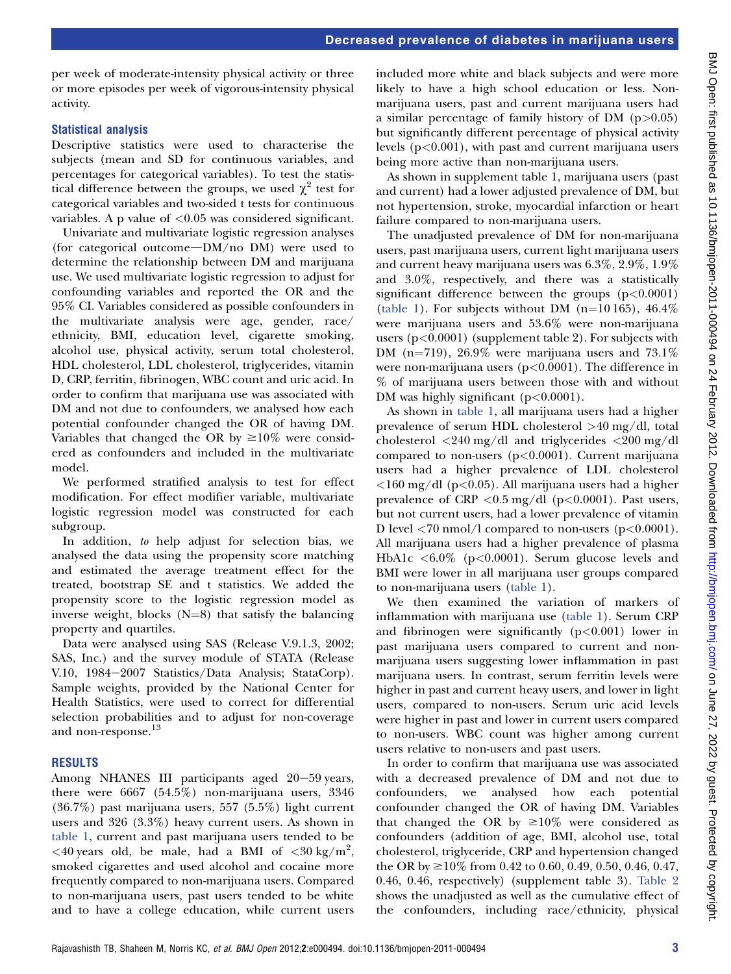per week of moderate-intensity physical activity or three or more episodes per week of vigorous-intensity physical activity.

## Statistical analysis

Descriptive statistics were used to characterise the subjects (mean and SD for continuous variables, and percentages for categorical variables). To test the statistical difference between the groups, we used  $\chi^2$  test for categorical variables and two-sided t tests for continuous variables. A p value of  $< 0.05$  was considered significant.

Univariate and multivariate logistic regression analyses (for categorical outcome $-DM/no$  DM) were used to determine the relationship between DM and marijuana use. We used multivariate logistic regression to adjust for confounding variables and reported the OR and the 95% CI. Variables considered as possible confounders in the multivariate analysis were age, gender, race/ ethnicity, BMI, education level, cigarette smoking, alcohol use, physical activity, serum total cholesterol, HDL cholesterol, LDL cholesterol, triglycerides, vitamin D, CRP, ferritin, fibrinogen, WBC count and uric acid. In order to confirm that marijuana use was associated with DM and not due to confounders, we analysed how each potential confounder changed the OR of having DM. Variables that changed the OR by  $\geq 10\%$  were considered as confounders and included in the multivariate model.

We performed stratified analysis to test for effect modification. For effect modifier variable, multivariate logistic regression model was constructed for each subgroup.

In addition, to help adjust for selection bias, we analysed the data using the propensity score matching and estimated the average treatment effect for the treated, bootstrap SE and t statistics. We added the propensity score to the logistic regression model as inverse weight, blocks  $(N=8)$  that satisfy the balancing property and quartiles.

Data were analysed using SAS (Release V.9.1.3, 2002; SAS, Inc.) and the survey module of STATA (Release V.10, 1984-2007 Statistics/Data Analysis; StataCorp). Sample weights, provided by the National Center for Health Statistics, were used to correct for differential selection probabilities and to adjust for non-coverage and non-response.<sup>13</sup>

#### RESULTS

Among NHANES III participants aged  $20-59$  years, there were 6667 (54.5%) non-marijuana users, 3346 (36.7%) past marijuana users, 557 (5.5%) light current users and 326 (3.3%) heavy current users. As shown in table 1, current and past marijuana users tended to be <40 years old, be male, had a BMI of  $\langle 30 \text{ kg/m}^2$ , smoked cigarettes and used alcohol and cocaine more frequently compared to non-marijuana users. Compared to non-marijuana users, past users tended to be white and to have a college education, while current users

included more white and black subjects and were more likely to have a high school education or less. Nonmarijuana users, past and current marijuana users had a similar percentage of family history of DM  $(p>0.05)$ but significantly different percentage of physical activity levels  $(p<0.001)$ , with past and current marijuana users being more active than non-marijuana users.

As shown in supplement table 1, marijuana users (past and current) had a lower adjusted prevalence of DM, but not hypertension, stroke, myocardial infarction or heart failure compared to non-marijuana users.

The unadjusted prevalence of DM for non-marijuana users, past marijuana users, current light marijuana users and current heavy marijuana users was 6.3%, 2.9%, 1.9% and 3.0%, respectively, and there was a statistically significant difference between the groups  $(p<0.0001)$ (table 1). For subjects without DM  $(n=10165)$ , 46.4% were marijuana users and 53.6% were non-marijuana users (p<0.0001) (supplement table 2). For subjects with DM (n=719), 26.9% were marijuana users and 73.1% were non-marijuana users  $(p<0.0001)$ . The difference in % of marijuana users between those with and without DM was highly significant  $(p<0.0001)$ .

As shown in table 1, all marijuana users had a higher prevalence of serum HDL cholesterol >40 mg/dl, total cholesterol <240 mg/dl and triglycerides <200 mg/dl compared to non-users (p<0.0001). Current marijuana users had a higher prevalence of LDL cholesterol  $\langle 160 \text{ mg/dl} (p \langle 0.05 \rangle)$ . All marijuana users had a higher prevalence of CRP  $\langle 0.5 \text{ mg/dl} \ (p \langle 0.0001 \rangle)$ . Past users, but not current users, had a lower prevalence of vitamin D level  $\langle 70 \text{ nmol}/1$  compared to non-users (p $\langle 0.0001 \rangle$ ). All marijuana users had a higher prevalence of plasma HbA1c  $\langle 6.0\% \rangle$  (p $\langle 0.0001 \rangle$ ). Serum glucose levels and BMI were lower in all marijuana user groups compared to non-marijuana users (table 1).

We then examined the variation of markers of inflammation with marijuana use (table 1). Serum CRP and fibrinogen were significantly  $(p<0.001)$  lower in past marijuana users compared to current and nonmarijuana users suggesting lower inflammation in past marijuana users. In contrast, serum ferritin levels were higher in past and current heavy users, and lower in light users, compared to non-users. Serum uric acid levels were higher in past and lower in current users compared to non-users. WBC count was higher among current users relative to non-users and past users.

In order to confirm that marijuana use was associated with a decreased prevalence of DM and not due to confounders, we analysed how each potential confounder changed the OR of having DM. Variables that changed the OR by  $\geq 10\%$  were considered as confounders (addition of age, BMI, alcohol use, total cholesterol, triglyceride, CRP and hypertension changed the OR by  $\geq$  10% from 0.42 to 0.60, 0.49, 0.50, 0.46, 0.47, 0.46, 0.46, respectively) (supplement table 3). Table 2 shows the unadjusted as well as the cumulative effect of the confounders, including race/ethnicity, physical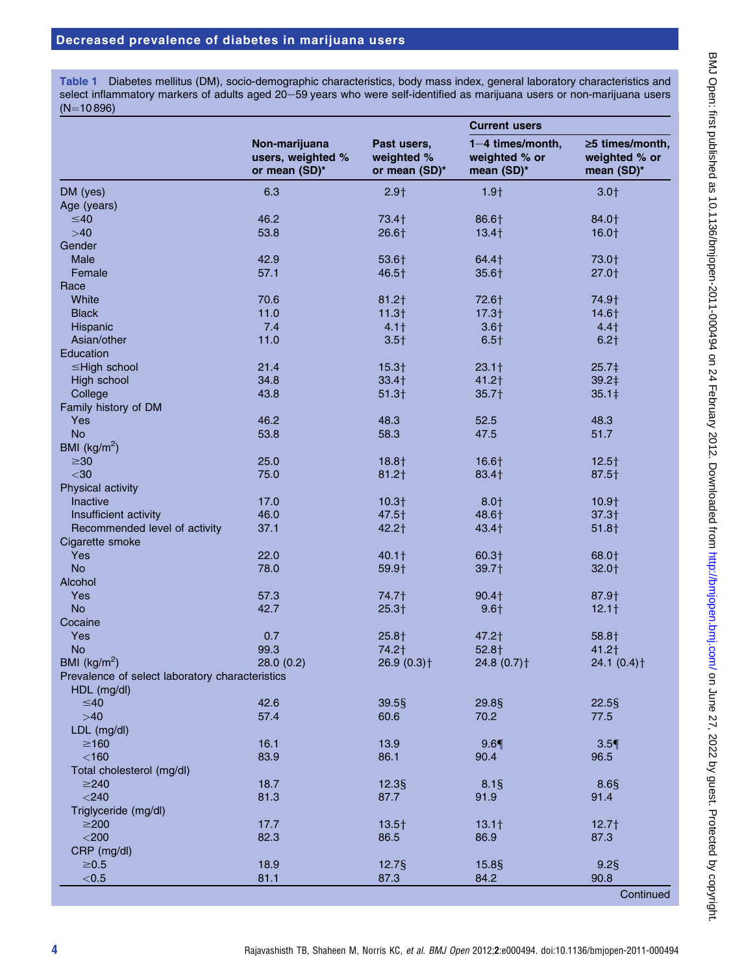Table 1 Diabetes mellitus (DM), socio-demographic characteristics, body mass index, general laboratory characteristics and select inflammatory markers of adults aged 20-59 years who were self-identified as marijuana users or non-marijuana users  $(N=10 896)$ 

|                                                        |                                                     | Past users,<br>weighted %<br>or mean (SD)* | <b>Current users</b>                              |                                                |
|--------------------------------------------------------|-----------------------------------------------------|--------------------------------------------|---------------------------------------------------|------------------------------------------------|
|                                                        | Non-marijuana<br>users, weighted %<br>or mean (SD)* |                                            | $1-4$ times/month,<br>weighted % or<br>mean (SD)* | ≥5 times/month,<br>weighted % or<br>mean (SD)* |
| DM (yes)                                               | 6.3                                                 | $2.9+$                                     | $1.9+$                                            | $3.0+$                                         |
| Age (years)                                            |                                                     |                                            |                                                   |                                                |
| $≤40$                                                  | 46.2                                                | $73.4+$                                    | 86.6†                                             | 84.0 <sup>+</sup>                              |
| $>40$                                                  | 53.8                                                | $26.6+$                                    | $13.4+$                                           | 16.0+                                          |
| Gender                                                 |                                                     |                                            |                                                   |                                                |
| Male                                                   | 42.9                                                | 53.6†                                      | 64.4†                                             | 73.0+                                          |
| Female                                                 | 57.1                                                | $46.5+$                                    | $35.6+$                                           | 27.0+                                          |
| Race                                                   |                                                     |                                            |                                                   |                                                |
| White                                                  | 70.6                                                | $81.2$ <sup>+</sup>                        | 72.6+                                             | 74.9†                                          |
| <b>Black</b>                                           | 11.0                                                | 11.3 <sub>†</sub>                          | 17.3 <sub>†</sub>                                 | $14.6+$                                        |
| Hispanic                                               | 7.4                                                 | $4.1+$                                     | 3.6 <sub>†</sub>                                  | $4.4$ <sup>+</sup>                             |
| Asian/other                                            | 11.0                                                | $3.5+$                                     | $6.5 +$                                           | 6.2 <sub>†</sub>                               |
| Education                                              |                                                     |                                            |                                                   |                                                |
| $\leq$ High school                                     | 21.4                                                | $15.3+$                                    | $23.1+$                                           | 25.7 <sup>†</sup>                              |
| High school                                            | 34.8                                                | $33.4+$                                    | $41.2$ <sup>+</sup>                               | $39.2+$                                        |
| College                                                | 43.8                                                | 51.3 <sub>†</sub>                          | $35.7+$                                           | 35.1 <sup>‡</sup>                              |
| Family history of DM                                   |                                                     |                                            |                                                   |                                                |
| Yes                                                    | 46.2                                                | 48.3                                       | 52.5                                              | 48.3                                           |
| <b>No</b>                                              | 53.8                                                | 58.3                                       | 47.5                                              | 51.7                                           |
| BMI ( $kg/m2$ )                                        |                                                     |                                            |                                                   |                                                |
| $\geq 30$                                              | 25.0                                                | 18.8 <sub>†</sub>                          | 16.6†                                             | $12.5+$                                        |
| $30$                                                   | 75.0                                                | $81.2$ <sup>+</sup>                        | 83.4+                                             | $87.5+$                                        |
| Physical activity<br>Inactive                          | 17.0                                                |                                            |                                                   |                                                |
|                                                        | 46.0                                                | 10.3 <sub>†</sub><br>$47.5+$               | $8.0 +$<br>48.6+                                  | 10.9 <sub>†</sub><br>$37.3+$                   |
| Insufficient activity<br>Recommended level of activity | 37.1                                                | $42.2+$                                    | 43.4+                                             | 51.8 <sub>†</sub>                              |
| Cigarette smoke                                        |                                                     |                                            |                                                   |                                                |
| Yes                                                    | 22.0                                                | $40.1+$                                    | $60.3+$                                           | 68.0 <sup>+</sup>                              |
| <b>No</b>                                              | 78.0                                                | 59.9†                                      | $39.7+$                                           | $32.0+$                                        |
| Alcohol                                                |                                                     |                                            |                                                   |                                                |
| Yes                                                    | 57.3                                                | 74.7†                                      | $90.4+$                                           | $87.9+$                                        |
| <b>No</b>                                              | 42.7                                                | 25.3 <sub>†</sub>                          | $9.6+$                                            | $12.1+$                                        |
| Cocaine                                                |                                                     |                                            |                                                   |                                                |
| Yes                                                    | 0.7                                                 | $25.8+$                                    | 47.2+                                             | 58.8+                                          |
| <b>No</b>                                              | 99.3                                                | 74.2†                                      | $52.8+$                                           | $41.2+$                                        |
| BMI $(kg/m2)$                                          | 28.0(0.2)                                           | $26.9(0.3)$ <sup>+</sup>                   | $24.8(0.7)$ <sup>+</sup>                          | $24.1(0.4)$ <sup>+</sup>                       |
| Prevalence of select laboratory characteristics        |                                                     |                                            |                                                   |                                                |
| HDL (mg/dl)                                            |                                                     |                                            |                                                   |                                                |
| $≤40$                                                  | 42.6                                                | 39.5§                                      | 29.8§                                             | 22.5S                                          |
| $>40$                                                  | 57.4                                                | 60.6                                       | 70.2                                              | 77.5                                           |
| LDL (mg/dl)                                            |                                                     |                                            |                                                   |                                                |
| $\geq 160$                                             | 16.1                                                | 13.9                                       | 9.6                                               | 3.5                                            |
| $<$ 160                                                | 83.9                                                | 86.1                                       | 90.4                                              | 96.5                                           |
| Total cholesterol (mg/dl)                              |                                                     |                                            |                                                   |                                                |
| $\geq$ 240                                             | 18.7                                                | 12.3§                                      | 8.1 <sub>S</sub>                                  | 8.6§                                           |
| $<$ 240                                                | 81.3                                                | 87.7                                       | 91.9                                              | 91.4                                           |
| Triglyceride (mg/dl)                                   |                                                     |                                            |                                                   |                                                |
| $\geq$ 200                                             | 17.7                                                | $13.5+$                                    | $13.1+$                                           | $12.7+$                                        |
| $<$ 200                                                | 82.3                                                | 86.5                                       | 86.9                                              | 87.3                                           |
| CRP (mg/dl)                                            |                                                     |                                            |                                                   |                                                |
|                                                        |                                                     |                                            |                                                   |                                                |
| $\geq 0.5$<br>< 0.5                                    | 18.9<br>81.1                                        | 12.7 <sub>§</sub><br>87.3                  | 15.8§<br>84.2                                     | 9.2 <sub>5</sub><br>90.8                       |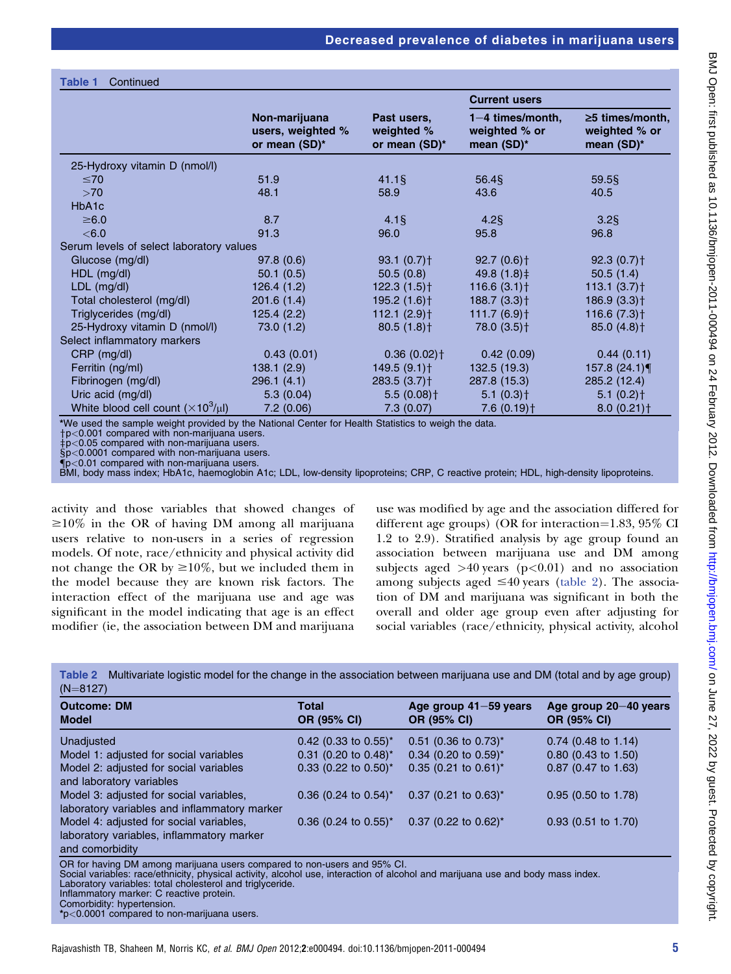## Table 1 Continued

|                                              |                                                     |                                            | <b>Current users</b>                                 |                                                      |
|----------------------------------------------|-----------------------------------------------------|--------------------------------------------|------------------------------------------------------|------------------------------------------------------|
|                                              | Non-marijuana<br>users, weighted %<br>or mean (SD)* | Past users.<br>weighted %<br>or mean (SD)* | $1-4$ times/month,<br>weighted % or<br>mean $(SD)^*$ | $\geq$ 5 times/month,<br>weighted % or<br>mean (SD)* |
| 25-Hydroxy vitamin D (nmol/l)                |                                                     |                                            |                                                      |                                                      |
| $\leq 70$                                    | 51.9                                                | 41.18                                      | 56.48                                                | 59.58                                                |
| >70                                          | 48.1                                                | 58.9                                       | 43.6                                                 | 40.5                                                 |
| HbA1c                                        |                                                     |                                            |                                                      |                                                      |
| $\geq 6.0$                                   | 8.7                                                 | 4.18                                       | 4.2 <sub>5</sub>                                     | 3.2 <sub>5</sub>                                     |
| < 6.0                                        | 91.3                                                | 96.0                                       | 95.8                                                 | 96.8                                                 |
| Serum levels of select laboratory values     |                                                     |                                            |                                                      |                                                      |
| Glucose (mg/dl)                              | 97.8(0.6)                                           | $93.1(0.7)$ <sup>+</sup>                   | $92.7(0.6)$ <sup>+</sup>                             | $92.3(0.7)$ <sup>+</sup>                             |
| HDL (mg/dl)                                  | 50.1(0.5)                                           | 50.5(0.8)                                  | 49.8 $(1.8)$ <sup>±</sup>                            | 50.5(1.4)                                            |
| $LDL$ (mg/dl)                                | 126.4(1.2)                                          | $122.3(1.5)$ <sup>+</sup>                  | 116.6 $(3.1)$ <sup>+</sup>                           | $113.1 (3.7)$ <sup>+</sup>                           |
| Total cholesterol (mg/dl)                    | 201.6(1.4)                                          | 195.2 $(1.6)$ <sup>+</sup>                 | $188.7(3.3)$ <sup>+</sup>                            | $186.9(3.3)$ <sup>+</sup>                            |
| Triglycerides (mg/dl)                        | 125.4(2.2)                                          | $112.1 (2.9)$ <sup>+</sup>                 | 111.7 $(6.9)$ <sup>+</sup>                           | 116.6 $(7.3)$ <sup>+</sup>                           |
| 25-Hydroxy vitamin D (nmol/l)                | 73.0 (1.2)                                          | $80.5(1.8)$ <sup>+</sup>                   | $78.0(3.5)$ <sup>+</sup>                             | $85.0(4.8)$ <sup>+</sup>                             |
| Select inflammatory markers                  |                                                     |                                            |                                                      |                                                      |
| CRP (mg/dl)                                  | 0.43(0.01)                                          | $0.36(0.02)$ <sup>+</sup>                  | 0.42(0.09)                                           | 0.44(0.11)                                           |
| Ferritin (ng/ml)                             | 138.1(2.9)                                          | 149.5(9.1)                                 | 132.5 (19.3)                                         | 157.8 (24.1)                                         |
| Fibrinogen (mg/dl)                           | 296.1(4.1)                                          | $283.5(3.7)$ <sup>+</sup>                  | 287.8 (15.3)                                         | 285.2 (12.4)                                         |
| Uric acid (mg/dl)                            | 5.3(0.04)                                           | $5.5(0.08)$ <sup>+</sup>                   | 5.1 $(0.3)$ <sup>+</sup>                             | $5.1(0.2)$ <sup>+</sup>                              |
| White blood cell count $(\times 10^3/\mu l)$ | 7.2(0.06)                                           | 7.3(0.07)                                  | $7.6(0.19)$ <sup>+</sup>                             | $8.0(0.21)$ <sup>+</sup>                             |

\*We used the sample weight provided by the National Center for Health Statistics to weigh the data.

 $\uparrow$  p<0.001 compared with non-marijuana users.

 $\frac{1}{2}p$ <0.05 compared with non-marijuana users.

 $Sp<$  0.0001 compared with non-marijuana users.

 $\rho$ <0.01 compared with non-marijuana users. BMI, body mass index; HbA1c, haemoglobin A1c; LDL, low-density lipoproteins; CRP, C reactive protein; HDL, high-density lipoproteins.

activity and those variables that showed changes of  $\geq 10\%$  in the OR of having DM among all marijuana users relative to non-users in a series of regression models. Of note, race/ethnicity and physical activity did not change the OR by  $\geq 10\%$ , but we included them in the model because they are known risk factors. The interaction effect of the marijuana use and age was significant in the model indicating that age is an effect modifier (ie, the association between DM and marijuana

use was modified by age and the association differed for different age groups) (OR for interaction= $1.83$ ,  $95\%$  CI 1.2 to 2.9). Stratified analysis by age group found an association between marijuana use and DM among subjects aged  $>40$  years (p<0.01) and no association among subjects aged  $\leq 40$  years (table 2). The association of DM and marijuana was significant in both the overall and older age group even after adjusting for social variables (race/ethnicity, physical activity, alcohol

Table 2 Multivariate logistic model for the change in the association between marijuana use and DM (total and by age group)  $(N=8127)$ 

| <b>Outcome: DM</b><br><b>Model</b>                                                                      | <b>Total</b><br>OR (95% CI)        | Age group 41-59 years<br>OR (95% CI) | Age group 20-40 years<br>OR (95% CI) |  |  |  |
|---------------------------------------------------------------------------------------------------------|------------------------------------|--------------------------------------|--------------------------------------|--|--|--|
| Unadjusted                                                                                              | $0.42$ (0.33 to 0.55) <sup>*</sup> | $0.51$ (0.36 to 0.73) <sup>*</sup>   | $0.74$ (0.48 to 1.14)                |  |  |  |
| Model 1: adjusted for social variables                                                                  | $0.31$ (0.20 to 0.48) <sup>*</sup> | $0.34$ (0.20 to 0.59) <sup>*</sup>   | $0.80$ (0.43 to 1.50)                |  |  |  |
| Model 2: adjusted for social variables<br>and laboratory variables                                      | 0.33 (0.22 to 0.50)*               | $0.35$ (0.21 to 0.61) <sup>*</sup>   | $0.87$ (0.47 to 1.63)                |  |  |  |
| Model 3: adjusted for social variables,<br>laboratory variables and inflammatory marker                 | 0.36 (0.24 to 0.54)*               | $0.37$ (0.21 to 0.63) <sup>*</sup>   | $0.95$ (0.50 to 1.78)                |  |  |  |
| Model 4: adjusted for social variables,<br>laboratory variables, inflammatory marker<br>and comorbidity | $0.36$ (0.24 to 0.55) <sup>*</sup> | $0.37$ (0.22 to 0.62) <sup>*</sup>   | $0.93$ (0.51 to 1.70)                |  |  |  |

OR for having DM among marijuana users compared to non-users and 95% CI. Social variables: race/ethnicity, physical activity, alcohol use, interaction of alcohol and marijuana use and body mass index.

Laboratory variables: total cholesterol and triglyceride.

\*p<0.0001 compared to non-marijuana users.

Inflammatory marker: C reactive protein.

Comorbidity: hypertension.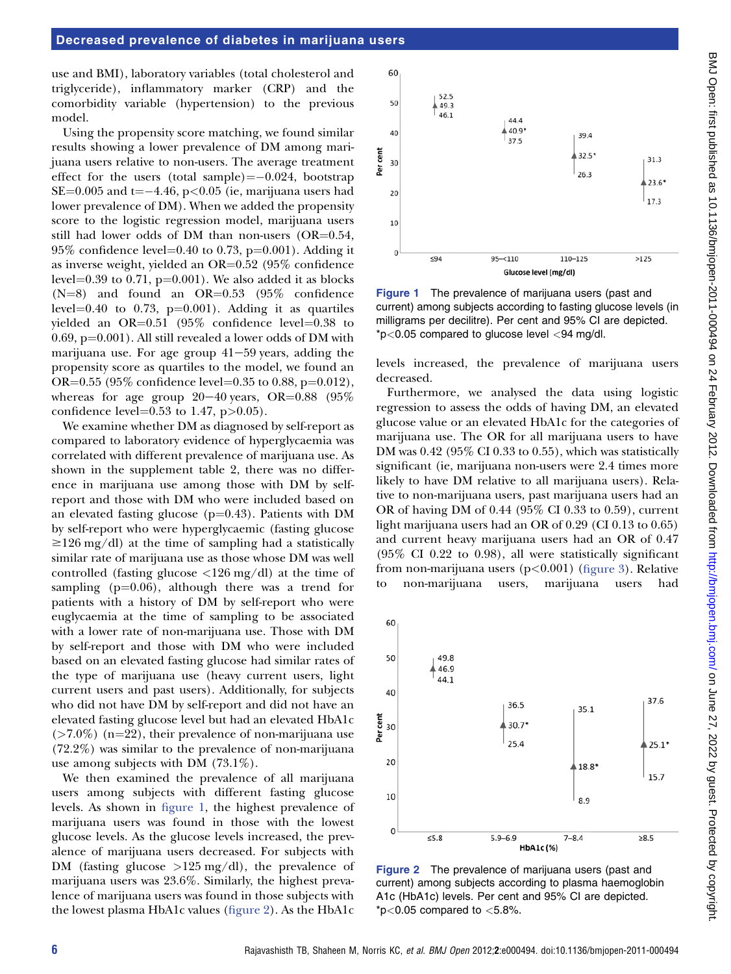use and BMI), laboratory variables (total cholesterol and triglyceride), inflammatory marker (CRP) and the comorbidity variable (hypertension) to the previous model.

Using the propensity score matching, we found similar results showing a lower prevalence of DM among marijuana users relative to non-users. The average treatment effect for the users (total sample) $=-0.024$ , bootstrap  $SE=0.005$  and t $=-4.46$ , p $< 0.05$  (ie, marijuana users had lower prevalence of DM). When we added the propensity score to the logistic regression model, marijuana users still had lower odds of DM than non-users  $(OR=0.54,$  $95\%$  confidence level=0.40 to 0.73, p=0.001). Adding it as inverse weight, yielded an  $OR=0.52$  (95% confidence level= $0.39$  to  $0.71$ , p= $0.001$ ). We also added it as blocks  $(N=8)$  and found an OR=0.53 (95% confidence level= $0.40$  to  $0.73$ ,  $p=0.001$ ). Adding it as quartiles yielded an OR= $0.51$  (95% confidence level= $0.38$  to  $(0.69, p=0.001)$ . All still revealed a lower odds of DM with marijuana use. For age group  $41-59$  years, adding the propensity score as quartiles to the model, we found an OR= $0.55$  (95% confidence level= $0.35$  to 0.88, p= $0.012$ ), whereas for age group  $20-40$  years, OR=0.88 (95%) confidence level=0.53 to 1.47,  $p > 0.05$ ).

We examine whether DM as diagnosed by self-report as compared to laboratory evidence of hyperglycaemia was correlated with different prevalence of marijuana use. As shown in the supplement table 2, there was no difference in marijuana use among those with DM by selfreport and those with DM who were included based on an elevated fasting glucose ( $p=0.43$ ). Patients with DM by self-report who were hyperglycaemic (fasting glucose  $\geq$ 126 mg/dl) at the time of sampling had a statistically similar rate of marijuana use as those whose DM was well controlled (fasting glucose <126 mg/dl) at the time of sampling  $(p=0.06)$ , although there was a trend for patients with a history of DM by self-report who were euglycaemia at the time of sampling to be associated with a lower rate of non-marijuana use. Those with DM by self-report and those with DM who were included based on an elevated fasting glucose had similar rates of the type of marijuana use (heavy current users, light current users and past users). Additionally, for subjects who did not have DM by self-report and did not have an elevated fasting glucose level but had an elevated HbA1c  $(27.0\%)$  (n=22), their prevalence of non-marijuana use (72.2%) was similar to the prevalence of non-marijuana use among subjects with DM (73.1%).

We then examined the prevalence of all marijuana users among subjects with different fasting glucose levels. As shown in figure 1, the highest prevalence of marijuana users was found in those with the lowest glucose levels. As the glucose levels increased, the prevalence of marijuana users decreased. For subjects with DM (fasting glucose  $>125 \text{ mg/dl}$ ), the prevalence of marijuana users was 23.6%. Similarly, the highest prevalence of marijuana users was found in those subjects with the lowest plasma HbA1c values (figure 2). As the HbA1c



Figure 1 The prevalence of marijuana users (past and current) among subjects according to fasting glucose levels (in milligrams per decilitre). Per cent and 95% CI are depicted.  $p$ <0.05 compared to glucose level <94 mg/dl.

levels increased, the prevalence of marijuana users decreased.

Furthermore, we analysed the data using logistic regression to assess the odds of having DM, an elevated glucose value or an elevated HbA1c for the categories of marijuana use. The OR for all marijuana users to have DM was 0.42 (95% CI 0.33 to 0.55), which was statistically significant (ie, marijuana non-users were 2.4 times more likely to have DM relative to all marijuana users). Relative to non-marijuana users, past marijuana users had an OR of having DM of 0.44 (95% CI 0.33 to 0.59), current light marijuana users had an OR of 0.29 (CI 0.13 to 0.65) and current heavy marijuana users had an OR of 0.47 (95% CI 0.22 to 0.98), all were statistically significant from non-marijuana users (p<0.001) (figure 3). Relative to non-marijuana users, marijuana users had



Figure 2 The prevalence of marijuana users (past and current) among subjects according to plasma haemoglobin A1c (HbA1c) levels. Per cent and 95% CI are depicted. \*p<0.05 compared to  $<$ 5.8%.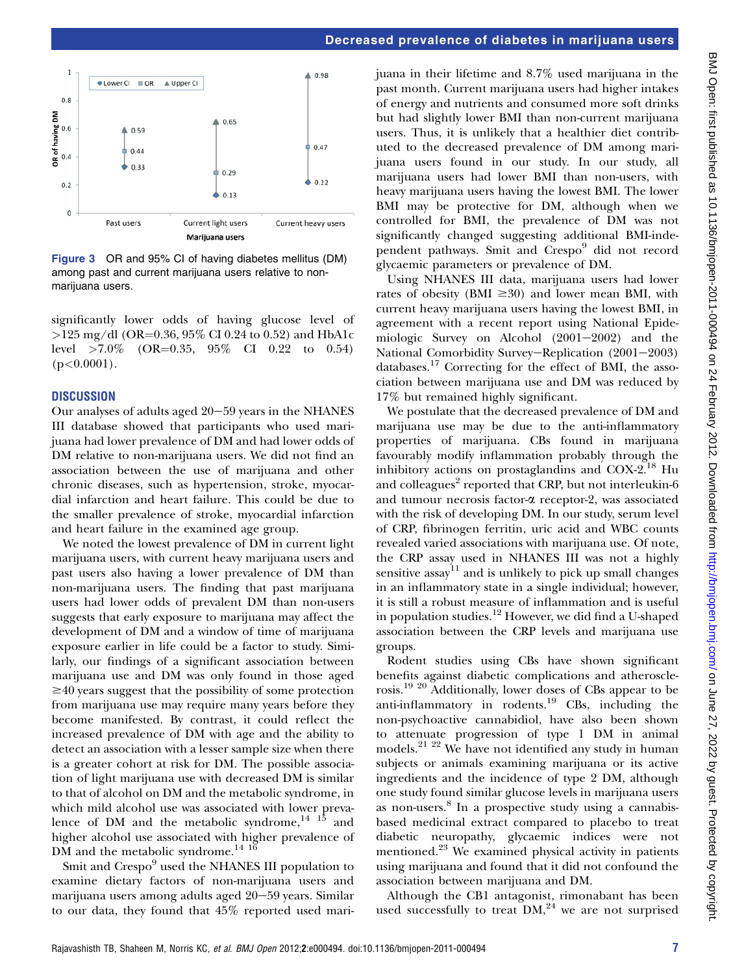# Decreased prevalence of diabetes in marijuana users



Figure 3 OR and 95% CI of having diabetes mellitus (DM) among past and current marijuana users relative to nonmarijuana users.

significantly lower odds of having glucose level of  $>125 \text{ mg/dl}$  (OR=0.36, 95% CI 0.24 to 0.52) and HbA1c level  $>7.0\%$  (OR=0.35, 95% CI 0.22 to 0.54)  $(p<0.0001)$ .

#### **DISCUSSION**

Our analyses of adults aged  $20-59$  years in the NHANES III database showed that participants who used marijuana had lower prevalence of DM and had lower odds of DM relative to non-marijuana users. We did not find an association between the use of marijuana and other chronic diseases, such as hypertension, stroke, myocardial infarction and heart failure. This could be due to the smaller prevalence of stroke, myocardial infarction and heart failure in the examined age group.

We noted the lowest prevalence of DM in current light marijuana users, with current heavy marijuana users and past users also having a lower prevalence of DM than non-marijuana users. The finding that past marijuana users had lower odds of prevalent DM than non-users suggests that early exposure to marijuana may affect the development of DM and a window of time of marijuana exposure earlier in life could be a factor to study. Similarly, our findings of a significant association between marijuana use and DM was only found in those aged  $\geq$ 40 years suggest that the possibility of some protection from marijuana use may require many years before they become manifested. By contrast, it could reflect the increased prevalence of DM with age and the ability to detect an association with a lesser sample size when there is a greater cohort at risk for DM. The possible association of light marijuana use with decreased DM is similar to that of alcohol on DM and the metabolic syndrome, in which mild alcohol use was associated with lower prevalence of DM and the metabolic syndrome, $^{14}$   $^{15}$  and higher alcohol use associated with higher prevalence of  $\overline{DM}$  and the metabolic syndrome.<sup>14 16</sup>

Smit and Crespo<sup>9</sup> used the NHANES III population to examine dietary factors of non-marijuana users and marijuana users among adults aged  $20-59$  years. Similar to our data, they found that 45% reported used marijuana in their lifetime and 8.7% used marijuana in the past month. Current marijuana users had higher intakes of energy and nutrients and consumed more soft drinks but had slightly lower BMI than non-current marijuana users. Thus, it is unlikely that a healthier diet contributed to the decreased prevalence of DM among marijuana users found in our study. In our study, all marijuana users had lower BMI than non-users, with heavy marijuana users having the lowest BMI. The lower BMI may be protective for DM, although when we controlled for BMI, the prevalence of DM was not significantly changed suggesting additional BMI-independent pathways. Smit and Crespo<sup>9</sup> did not record glycaemic parameters or prevalence of DM.

Using NHANES III data, marijuana users had lower rates of obesity (BMI  $\geq 30$ ) and lower mean BMI, with current heavy marijuana users having the lowest BMI, in agreement with a recent report using National Epidemiologic Survey on Alcohol (2001-2002) and the National Comorbidity Survey-Replication  $(2001-2003)$ databases.<sup>17</sup> Correcting for the effect of BMI, the association between marijuana use and DM was reduced by 17% but remained highly significant.

We postulate that the decreased prevalence of DM and marijuana use may be due to the anti-inflammatory properties of marijuana. CBs found in marijuana favourably modify inflammation probably through the inhibitory actions on prostaglandins and  $COX-2$ .<sup>18</sup> Hu and colleagues<sup>2</sup> reported that CRP, but not interleukin-6 and tumour necrosis factor- $\alpha$  receptor-2, was associated with the risk of developing DM. In our study, serum level of CRP, fibrinogen ferritin, uric acid and WBC counts revealed varied associations with marijuana use. Of note, the CRP assay used in NHANES III was not a highly sensitive assay<sup>11</sup> and is unlikely to pick up small changes in an inflammatory state in a single individual; however, it is still a robust measure of inflammation and is useful in population studies.<sup>12</sup> However, we did find a U-shaped association between the CRP levels and marijuana use groups.

Rodent studies using CBs have shown significant benefits against diabetic complications and atherosclerosis.<sup>19</sup> <sup>20</sup> Additionally, lower doses of CBs appear to be anti-inflammatory in rodents.<sup>19</sup> CBs, including the non-psychoactive cannabidiol, have also been shown to attenuate progression of type 1 DM in animal models.21 22 We have not identified any study in human subjects or animals examining marijuana or its active ingredients and the incidence of type 2 DM, although one study found similar glucose levels in marijuana users as non-users.<sup>8</sup> In a prospective study using a cannabisbased medicinal extract compared to placebo to treat diabetic neuropathy, glycaemic indices were not mentioned.<sup>23</sup> We examined physical activity in patients using marijuana and found that it did not confound the association between marijuana and DM.

Although the CB1 antagonist, rimonabant has been used successfully to treat DM,<sup>24</sup> we are not surprised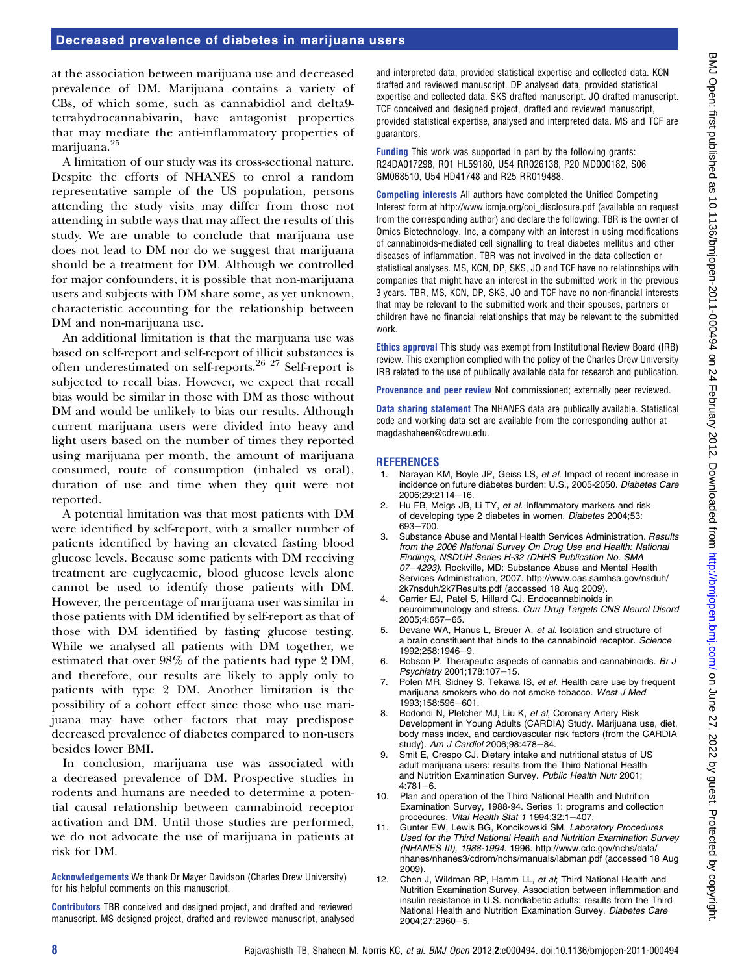at the association between marijuana use and decreased prevalence of DM. Marijuana contains a variety of CBs, of which some, such as cannabidiol and delta9 tetrahydrocannabivarin, have antagonist properties that may mediate the anti-inflammatory properties of marijuana.<sup>25</sup>

A limitation of our study was its cross-sectional nature. Despite the efforts of NHANES to enrol a random representative sample of the US population, persons attending the study visits may differ from those not attending in subtle ways that may affect the results of this study. We are unable to conclude that marijuana use does not lead to DM nor do we suggest that marijuana should be a treatment for DM. Although we controlled for major confounders, it is possible that non-marijuana users and subjects with DM share some, as yet unknown, characteristic accounting for the relationship between DM and non-marijuana use.

An additional limitation is that the marijuana use was based on self-report and self-report of illicit substances is often underestimated on self-reports.<sup>26</sup> <sup>27</sup> Self-report is subjected to recall bias. However, we expect that recall bias would be similar in those with DM as those without DM and would be unlikely to bias our results. Although current marijuana users were divided into heavy and light users based on the number of times they reported using marijuana per month, the amount of marijuana consumed, route of consumption (inhaled vs oral), duration of use and time when they quit were not reported.

A potential limitation was that most patients with DM were identified by self-report, with a smaller number of patients identified by having an elevated fasting blood glucose levels. Because some patients with DM receiving treatment are euglycaemic, blood glucose levels alone cannot be used to identify those patients with DM. However, the percentage of marijuana user was similar in those patients with DM identified by self-report as that of those with DM identified by fasting glucose testing. While we analysed all patients with DM together, we estimated that over 98% of the patients had type 2 DM, and therefore, our results are likely to apply only to patients with type 2 DM. Another limitation is the possibility of a cohort effect since those who use marijuana may have other factors that may predispose decreased prevalence of diabetes compared to non-users besides lower BMI.

In conclusion, marijuana use was associated with a decreased prevalence of DM. Prospective studies in rodents and humans are needed to determine a potential causal relationship between cannabinoid receptor activation and DM. Until those studies are performed, we do not advocate the use of marijuana in patients at risk for DM.

Acknowledgements We thank Dr Mayer Davidson (Charles Drew University) for his helpful comments on this manuscript.

Contributors TBR conceived and designed project, and drafted and reviewed manuscript. MS designed project, drafted and reviewed manuscript, analysed and interpreted data, provided statistical expertise and collected data. KCN drafted and reviewed manuscript. DP analysed data, provided statistical expertise and collected data. SKS drafted manuscript. JO drafted manuscript. TCF conceived and designed project, drafted and reviewed manuscript, provided statistical expertise, analysed and interpreted data. MS and TCF are guarantors.

Funding This work was supported in part by the following grants: R24DA017298, R01 HL59180, U54 RR026138, P20 MD000182, S06 GM068510, U54 HD41748 and R25 RR019488.

Competing interests All authors have completed the Unified Competing Interest form at http://www.icmje.org/coi\_disclosure.pdf (available on request from the corresponding author) and declare the following: TBR is the owner of Omics Biotechnology, Inc, a company with an interest in using modifications of cannabinoids-mediated cell signalling to treat diabetes mellitus and other diseases of inflammation. TBR was not involved in the data collection or statistical analyses. MS, KCN, DP, SKS, JO and TCF have no relationships with companies that might have an interest in the submitted work in the previous 3 years. TBR, MS, KCN, DP, SKS, JO and TCF have no non-financial interests that may be relevant to the submitted work and their spouses, partners or children have no financial relationships that may be relevant to the submitted work.

Ethics approval This study was exempt from Institutional Review Board (IRB) review. This exemption complied with the policy of the Charles Drew University IRB related to the use of publically available data for research and publication.

Provenance and peer review Not commissioned; externally peer reviewed.

Data sharing statement The NHANES data are publically available. Statistical code and working data set are available from the corresponding author at magdashaheen@cdrewu.edu.

#### **REFERENCES**

- 1. Narayan KM, Boyle JP, Geiss LS, et al. Impact of recent increase in incidence on future diabetes burden: U.S., 2005-2050. Diabetes Care 2006:29:2114-16.
- Hu FB, Meigs JB, Li TY, et al. Inflammatory markers and risk of developing type 2 diabetes in women. Diabetes 2004;53: 693-700.
- 3. Substance Abuse and Mental Health Services Administration. Results from the 2006 National Survey On Drug Use and Health: National Findings, NSDUH Series H-32 (DHHS Publication No. SMA 07-4293). Rockville, MD: Substance Abuse and Mental Health Services Administration, 2007. http://www.oas.samhsa.gov/nsduh/ 2k7nsduh/2k7Results.pdf (accessed 18 Aug 2009).
- 4. Carrier EJ, Patel S, Hillard CJ. Endocannabinoids in neuroimmunology and stress. Curr Drug Targets CNS Neurol Disord 2005;4:657-65.
- 5. Devane WA, Hanus L, Breuer A, et al. Isolation and structure of a brain constituent that binds to the cannabinoid receptor. Science 1992;258:1946-9.
- 6. Robson P. Therapeutic aspects of cannabis and cannabinoids. Br J Psychiatry 2001;178:107-15.
- 7. Polen MR, Sidney S, Tekawa IS, et al. Health care use by frequent marijuana smokers who do not smoke tobacco. West J Med 1993:158:596-601.
- Rodondi N, Pletcher MJ, Liu K, et al; Coronary Artery Risk Development in Young Adults (CARDIA) Study. Marijuana use, diet, body mass index, and cardiovascular risk factors (from the CARDIA study). Am J Cardiol 2006:98:478-84.
- 9. Smit E, Crespo CJ. Dietary intake and nutritional status of US adult marijuana users: results from the Third National Health and Nutrition Examination Survey. Public Health Nutr 2001;  $4:781 - 6$ .
- 10. Plan and operation of the Third National Health and Nutrition Examination Survey, 1988-94. Series 1: programs and collection procedures. Vital Health Stat 1 1994;32:1-407.
- Gunter EW, Lewis BG, Koncikowski SM. Laboratory Procedures Used for the Third National Health and Nutrition Examination Survey (NHANES III), 1988-1994. 1996. http://www.cdc.gov/nchs/data/ nhanes/nhanes3/cdrom/nchs/manuals/labman.pdf (accessed 18 Aug 2009).
- Chen J, Wildman RP, Hamm LL, et al; Third National Health and Nutrition Examination Survey. Association between inflammation and insulin resistance in U.S. nondiabetic adults: results from the Third National Health and Nutrition Examination Survey. Diabetes Care 2004;27:2960-5.